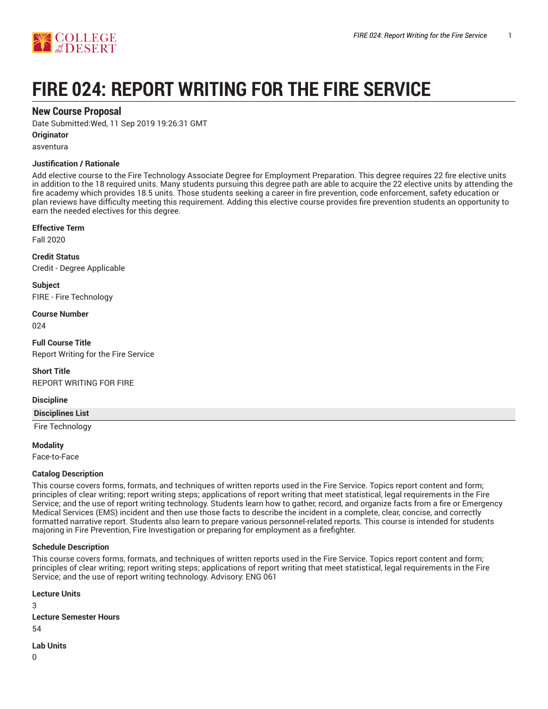



# **FIRE 024: REPORT WRITING FOR THE FIRE SERVICE**

# **New Course Proposal**

Date Submitted:Wed, 11 Sep 2019 19:26:31 GMT

#### **Originator**

asventura

# **Justification / Rationale**

Add elective course to the Fire Technology Associate Degree for Employment Preparation. This degree requires 22 fire elective units in addition to the 18 required units. Many students pursuing this degree path are able to acquire the 22 elective units by attending the fire academy which provides 18.5 units. Those students seeking a career in fire prevention, code enforcement, safety education or plan reviews have difficulty meeting this requirement. Adding this elective course provides fire prevention students an opportunity to earn the needed electives for this degree.

# **Effective Term**

Fall 2020

**Credit Status** Credit - Degree Applicable

**Subject** FIRE - Fire Technology

**Course Number** 024

**Full Course Title** Report Writing for the Fire Service

**Short Title** REPORT WRITING FOR FIRE

# **Discipline**

**Disciplines List**

Fire Technology

**Modality**

Face-to-Face

# **Catalog Description**

This course covers forms, formats, and techniques of written reports used in the Fire Service. Topics report content and form; principles of clear writing; report writing steps; applications of report writing that meet statistical, legal requirements in the Fire Service; and the use of report writing technology. Students learn how to gather, record, and organize facts from a fire or Emergency Medical Services (EMS) incident and then use those facts to describe the incident in a complete, clear, concise, and correctly formatted narrative report. Students also learn to prepare various personnel-related reports. This course is intended for students majoring in Fire Prevention, Fire Investigation or preparing for employment as a firefighter.

# **Schedule Description**

This course covers forms, formats, and techniques of written reports used in the Fire Service. Topics report content and form; principles of clear writing; report writing steps; applications of report writing that meet statistical, legal requirements in the Fire Service; and the use of report writing technology. Advisory: ENG 061

**Lecture Units** 3 **Lecture Semester Hours** 54 **Lab Units**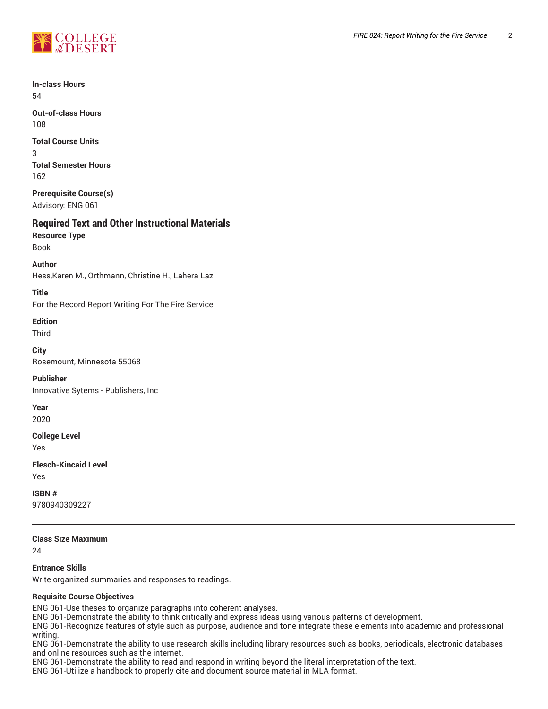

**In-class Hours** 54

**Out-of-class Hours** 108

**Total Course Units** 3 **Total Semester Hours** 162

**Prerequisite Course(s)** Advisory: ENG 061

# **Required Text and Other Instructional Materials**

**Resource Type** Book

**Author** Hess,Karen M., Orthmann, Christine H., Lahera Laz

**Title** For the Record Report Writing For The Fire Service

**Edition**

Third

**City** Rosemount, Minnesota 55068

**Publisher** Innovative Sytems - Publishers, Inc

**Year**

2020

**College Level**

Yes

**Flesch-Kincaid Level** Yes

**ISBN #** 9780940309227

# **Class Size Maximum**

24

**Entrance Skills**

Write organized summaries and responses to readings.

# **Requisite Course Objectives**

ENG 061-Use theses to organize paragraphs into coherent analyses.

ENG 061-Demonstrate the ability to think critically and express ideas using various patterns of development.

ENG 061-Recognize features of style such as purpose, audience and tone integrate these elements into academic and professional writing.

ENG 061-Demonstrate the ability to use research skills including library resources such as books, periodicals, electronic databases and online resources such as the internet.

ENG 061-Demonstrate the ability to read and respond in writing beyond the literal interpretation of the text.

ENG 061-Utilize a handbook to properly cite and document source material in MLA format.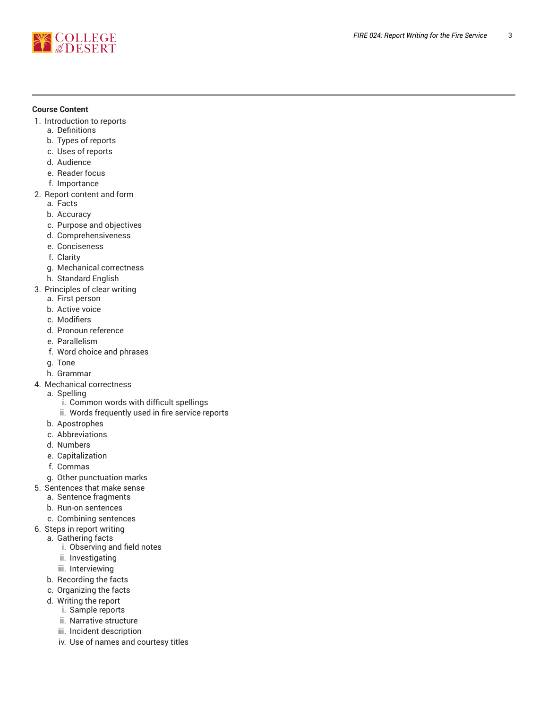

# **Course Content**

- 1. Introduction to reports
	- a. Definitions
	- b. Types of reports
	- c. Uses of reports
	- d. Audience
	- e. Reader focus
	- f. Importance
- 2. Report content and form
	- a. Facts b. Accuracy
	-
	- c. Purpose and objectives
	- d. Comprehensiveness
	- e. Conciseness
	- f. Clarity
	- g. Mechanical correctness
	- h. Standard English
- 3. Principles of clear writing
	- a. First person
	- b. Active voice
	- c. Modifiers
	- d. Pronoun reference
	- e. Parallelism
	- f. Word choice and phrases
	- g. Tone
	- h. Grammar
- 4. Mechanical correctness
	- a. Spelling
		- i. Common words with difficult spellings
		- ii. Words frequently used in fire service reports
	- b. Apostrophes
	- c. Abbreviations
	- d. Numbers
	- e. Capitalization
	- f. Commas
	- g. Other punctuation marks
- 5. Sentences that make sense
	- a. Sentence fragments
		- b. Run-on sentences
	- c. Combining sentences
- 6. Steps in report writing
- a. Gathering facts
	- i. Observing and field notes
	- ii. Investigating
	- iii. Interviewing
	- b. Recording the facts
	- c. Organizing the facts
	- d. Writing the report
		- i. Sample reports
		- ii. Narrative structure
		- iii. Incident description
		- iv. Use of names and courtesy titles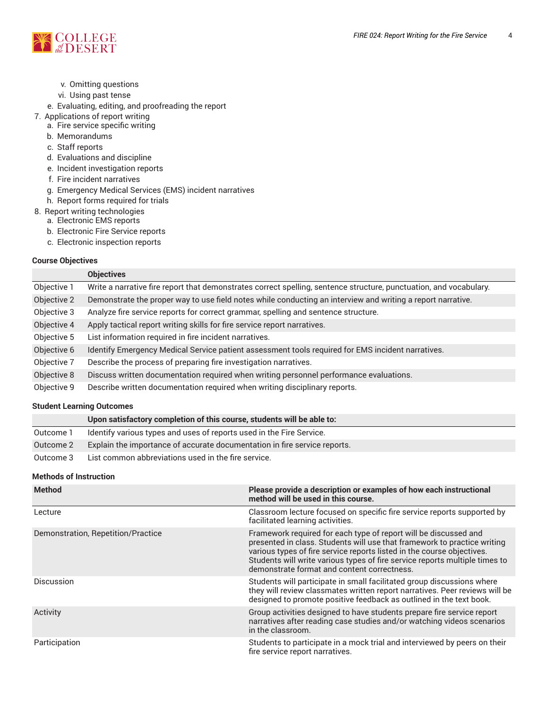

- v. Omitting questions
- vi. Using past tense
- e. Evaluating, editing, and proofreading the report
- 7. Applications of report writing
	- a. Fire service specific writing
	- b. Memorandums
	- c. Staff reports
	- d. Evaluations and discipline
	- e. Incident investigation reports
	- f. Fire incident narratives
	- g. Emergency Medical Services (EMS) incident narratives
	- h. Report forms required for trials
- 8. Report writing technologies
	- a. Electronic EMS reports
	- b. Electronic Fire Service reports
	- c. Electronic inspection reports

# **Course Objectives**

|             | <b>Objectives</b>                                                                                                  |
|-------------|--------------------------------------------------------------------------------------------------------------------|
| Objective 1 | Write a narrative fire report that demonstrates correct spelling, sentence structure, punctuation, and vocabulary. |
| Objective 2 | Demonstrate the proper way to use field notes while conducting an interview and writing a report narrative.        |
| Objective 3 | Analyze fire service reports for correct grammar, spelling and sentence structure.                                 |
| Objective 4 | Apply tactical report writing skills for fire service report narratives.                                           |
| Objective 5 | List information required in fire incident narratives.                                                             |
| Objective 6 | Identify Emergency Medical Service patient assessment tools required for EMS incident narratives.                  |
| Objective 7 | Describe the process of preparing fire investigation narratives.                                                   |
| Objective 8 | Discuss written documentation required when writing personnel performance evaluations.                             |
| Objective 9 | Describe written documentation required when writing disciplinary reports.                                         |

# **Student Learning Outcomes**

|           | Upon satisfactory completion of this course, students will be able to:    |
|-----------|---------------------------------------------------------------------------|
| Outcome 1 | Identify various types and uses of reports used in the Fire Service.      |
| Outcome 2 | Explain the importance of accurate documentation in fire service reports. |
| Outcome 3 | List common abbreviations used in the fire service.                       |

# **Methods of Instruction**

| <b>Method</b>                      | Please provide a description or examples of how each instructional<br>method will be used in this course.                                                                                                                                                                                                                                            |
|------------------------------------|------------------------------------------------------------------------------------------------------------------------------------------------------------------------------------------------------------------------------------------------------------------------------------------------------------------------------------------------------|
| Lecture                            | Classroom lecture focused on specific fire service reports supported by<br>facilitated learning activities.                                                                                                                                                                                                                                          |
| Demonstration, Repetition/Practice | Framework required for each type of report will be discussed and<br>presented in class. Students will use that framework to practice writing<br>various types of fire service reports listed in the course objectives.<br>Students will write various types of fire service reports multiple times to<br>demonstrate format and content correctness. |
| <b>Discussion</b>                  | Students will participate in small facilitated group discussions where<br>they will review classmates written report narratives. Peer reviews will be<br>designed to promote positive feedback as outlined in the text book.                                                                                                                         |
| Activity                           | Group activities designed to have students prepare fire service report<br>narratives after reading case studies and/or watching videos scenarios<br>in the classroom.                                                                                                                                                                                |
| Participation                      | Students to participate in a mock trial and interviewed by peers on their<br>fire service report narratives.                                                                                                                                                                                                                                         |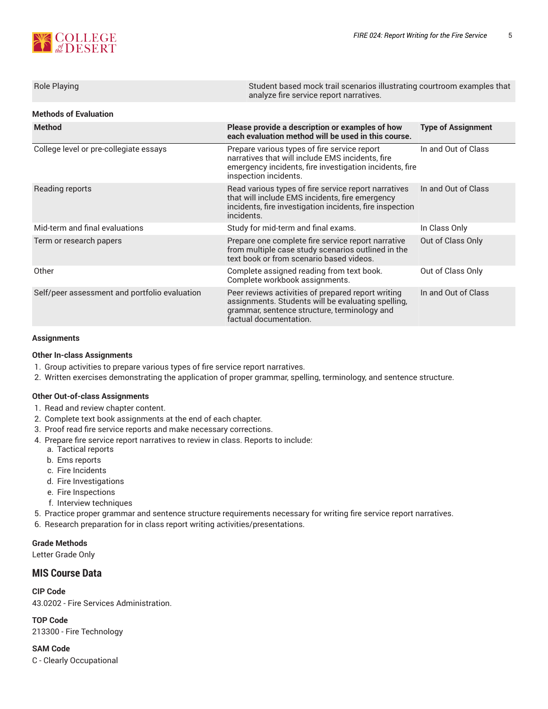

| Student based mock trail scenarios illustrating courtroom examples that<br>analyze fire service report narratives.                                                                   |                           |  |  |  |  |
|--------------------------------------------------------------------------------------------------------------------------------------------------------------------------------------|---------------------------|--|--|--|--|
| <b>Methods of Evaluation</b>                                                                                                                                                         |                           |  |  |  |  |
| Please provide a description or examples of how<br>each evaluation method will be used in this course.                                                                               | <b>Type of Assignment</b> |  |  |  |  |
| Prepare various types of fire service report<br>narratives that will include EMS incidents, fire<br>emergency incidents, fire investigation incidents, fire<br>inspection incidents. | In and Out of Class       |  |  |  |  |
| Read various types of fire service report narratives<br>that will include EMS incidents, fire emergency<br>incidents, fire investigation incidents, fire inspection<br>incidents.    | In and Out of Class       |  |  |  |  |
| Study for mid-term and final exams.                                                                                                                                                  | In Class Only             |  |  |  |  |
| Prepare one complete fire service report narrative<br>from multiple case study scenarios outlined in the<br>text book or from scenario based videos.                                 | Out of Class Only         |  |  |  |  |
| Complete assigned reading from text book.<br>Complete workbook assignments.                                                                                                          | Out of Class Only         |  |  |  |  |
| Peer reviews activities of prepared report writing<br>assignments. Students will be evaluating spelling,<br>grammar, sentence structure, terminology and<br>factual documentation.   | In and Out of Class       |  |  |  |  |
|                                                                                                                                                                                      |                           |  |  |  |  |

# **Assignments**

# **Other In-class Assignments**

- 1. Group activities to prepare various types of fire service report narratives.
- 2. Written exercises demonstrating the application of proper grammar, spelling, terminology, and sentence structure.

# **Other Out-of-class Assignments**

- 1. Read and review chapter content.
- 2. Complete text book assignments at the end of each chapter.
- 3. Proof read fire service reports and make necessary corrections.
- 4. Prepare fire service report narratives to review in class. Reports to include:
	- a. Tactical reports
	- b. Ems reports
	- c. Fire Incidents
	- d. Fire Investigations
	- e. Fire Inspections
	- f. Interview techniques
- 5. Practice proper grammar and sentence structure requirements necessary for writing fire service report narratives.
- 6. Research preparation for in class report writing activities/presentations.

# **Grade Methods**

Letter Grade Only

# **MIS Course Data**

**CIP Code** 43.0202 - Fire Services Administration.

**TOP Code** 213300 - Fire Technology

# **SAM Code**

C - Clearly Occupational